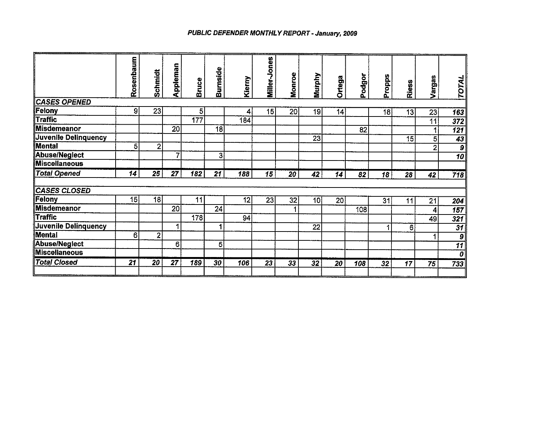## PUBLIC DEFENDER MONTHLY REPORT - January, 2009

|                      | Rosenbaum | Schmidt        | Appleman        | <b>Bruce</b>     | Burnside       | Kierny | Miller-Jones    | Monroe | <b>Murphy</b>   | Ortega          | Podgor | Propps          | <b>Riess</b> | Vargas          | TOTAL                            |
|----------------------|-----------|----------------|-----------------|------------------|----------------|--------|-----------------|--------|-----------------|-----------------|--------|-----------------|--------------|-----------------|----------------------------------|
| <b>CASES OPENED</b>  |           |                |                 |                  |                |        |                 |        |                 |                 |        |                 |              |                 |                                  |
| Felony               | 9         | 23             |                 | 5                |                | 4      | 15              | 20     | 19              | 4               |        | 18              | 13           | 23              | 163                              |
| <b>Traffic</b>       |           |                |                 | $\overline{177}$ |                | 184    |                 |        |                 |                 |        |                 |              | $\overline{11}$ | $\overline{372}$                 |
| Misdemeanor          |           |                | $\overline{20}$ |                  | 18             |        |                 |        |                 |                 | 82     |                 |              |                 | 121                              |
| Juvenile Delinquency |           |                |                 |                  |                |        |                 |        | 23              |                 |        |                 | 15           | 5               | $\overline{43}$                  |
| Mental               | 5         | $\overline{2}$ |                 |                  |                |        |                 |        |                 |                 |        |                 |              | $\mathcal{P}$   | $\overline{g}$                   |
| <b>Abuse/Neglect</b> |           |                |                 |                  | $3\vert$       |        |                 |        |                 |                 |        |                 |              |                 | $\overline{10}$                  |
| <b>Miscellaneous</b> |           |                |                 |                  |                |        |                 |        |                 |                 |        |                 |              |                 |                                  |
| <b>Total Opened</b>  | 14        | 25             | $\overline{27}$ | 182              | 21             | 188    | 15              | 20     | 42              | 14              | 82     | 18              | 28           | 42              | 718                              |
| <b>CASES CLOSED</b>  |           |                |                 |                  |                |        |                 |        |                 |                 |        |                 |              |                 |                                  |
| Felony               | 15        | 18             |                 | 11               |                | 12     | $\overline{23}$ | 32     | 10              | 20 <sup>2</sup> |        | 31              | 11           | 21              | 204                              |
| <b>Misdemeanor</b>   |           |                | $\overline{20}$ |                  | 24             |        |                 |        |                 |                 | 108    |                 |              | 4               | $\overline{157}$                 |
| <b>Traffic</b>       |           |                |                 | 178              |                | 94     |                 |        |                 |                 |        |                 |              | 49              | 321                              |
| Juvenile Delinquency |           |                |                 |                  | 1              |        |                 |        | $\overline{22}$ |                 |        |                 | 6            |                 | $\overline{31}$                  |
| <b>Mental</b>        | 6         | $\overline{2}$ |                 |                  |                |        |                 |        |                 |                 |        |                 |              |                 | $\boldsymbol{9}$                 |
| Abuse/Neglect        |           |                | 6               |                  | 5 <sup>1</sup> |        |                 |        |                 |                 |        |                 |              |                 | $\overline{11}$                  |
| <b>Miscellaneous</b> |           |                |                 |                  |                |        |                 |        |                 |                 |        |                 |              |                 | $\overline{\boldsymbol{\theta}}$ |
| <b>Total Closed</b>  | 21        | 20             | 27              | 189              | 30             | 106    | $\overline{23}$ | 33     | 32              | 20              | 108    | $\overline{32}$ | 17           | 75              | 733                              |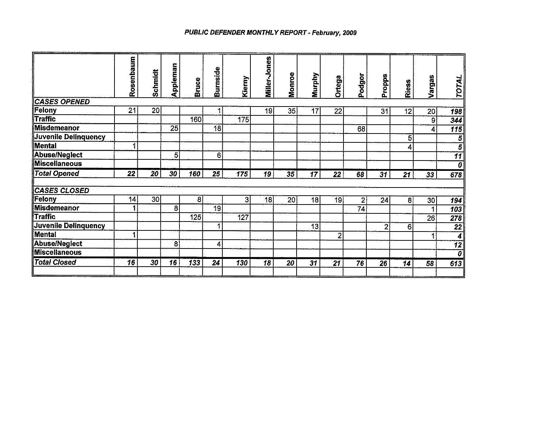## PUBLIC DEFENDER MONTHLY REPORT - February, 2009

|                      | Rosenbaum | Schmidt | Appleman | <b>Bruce</b> | Burnside | Kierny           | Miller-Jones | <b>Monroe</b> | Murphy | Ortega                  | Podgor          | Propps         | <b>Riess</b>   | Vargas          | TOTAL                   |
|----------------------|-----------|---------|----------|--------------|----------|------------------|--------------|---------------|--------|-------------------------|-----------------|----------------|----------------|-----------------|-------------------------|
| <b>CASES OPENED</b>  |           |         |          |              |          |                  |              |               |        |                         |                 |                |                |                 |                         |
| Felony               | 21        | 20      |          |              |          |                  | 19           | 35            | 17     | 22                      |                 | 31             | 12             | 20 <sup>1</sup> | $\overline{198}$        |
| <b>Traffic</b>       |           |         |          | 160          |          | 175              |              |               |        |                         |                 |                |                | $\overline{9}$  | 344                     |
| <b>Misdemeanor</b>   |           |         | 25       |              | 18       |                  |              |               |        |                         | 68              |                |                | 4               | 115                     |
| Juvenile Delinquency |           |         |          |              |          |                  |              |               |        |                         |                 |                | 5 <sub>l</sub> |                 | 5                       |
| Mental               |           |         |          |              |          |                  |              |               |        |                         |                 |                | 4              |                 | $\overline{\bf{5}}$     |
| Abuse/Neglect        |           |         | 5        |              | 6        |                  |              |               |        |                         |                 |                |                |                 | $\overline{11}$         |
| <b>Miscellaneous</b> |           |         |          |              |          |                  |              |               |        |                         |                 |                |                |                 | $\overline{o}$          |
| <b>Total Opened</b>  | 22        | 20      | 30       | 160          | 25       | $\overline{175}$ | 19           | 35            | 17     | 22                      | 68              | 31             | 21             | 33              | 678                     |
| <b>CASES CLOSED</b>  |           |         |          |              |          |                  |              |               |        |                         |                 |                |                |                 |                         |
| Felony               | 14        | 30      |          | 8            |          | $\mathbf{3}$     | 18           | 20            | 18     | 19                      | 2               | 24             | 8              | 30 <sub>l</sub> | 194                     |
| <b>Misdemeanor</b>   |           |         | 8        |              | 19       |                  |              |               |        |                         | $\overline{74}$ |                |                |                 | $\overline{103}$        |
| Traffic              |           |         |          | 125          |          | 127              |              |               |        |                         |                 |                |                | 26              | 278                     |
| Juvenile Delinquency |           |         |          |              | 1        |                  |              |               | 13     |                         |                 | $\overline{2}$ | 6              |                 | $\overline{22}$         |
| Mental               | A         |         |          |              |          |                  |              |               |        | $\overline{\mathbf{2}}$ |                 |                |                |                 | $\overline{\mathbf{4}}$ |
| <b>Abuse/Neglect</b> |           |         | 8        |              | 4        |                  |              |               |        |                         |                 |                |                |                 | $\overline{12}$         |
| <b>Miscellaneous</b> |           |         |          |              |          |                  |              |               |        |                         |                 |                |                |                 | $\overline{\mathbf{o}}$ |
| <b>Total Closed</b>  | 16        | 30      | 16       | 133          | 24       | 130              | 18           | 20            | 31     | 21                      | 76              | 26             | 14             | 58              | 613                     |